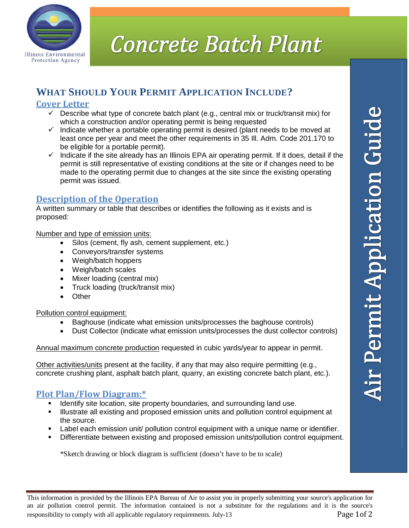

# **Concrete Batch Plant**

## **WHAT SHOULD YOUR PERMIT APPLICATION INCLUDE?**

## **Cover Letter**

- $\checkmark$  Describe what type of concrete batch plant (e.g., central mix or truck/transit mix) for which a construction and/or operating permit is being requested
- $\checkmark$  Indicate whether a portable operating permit is desired (plant needs to be moved at least once per year and meet the other requirements in 35 Ill. Adm. Code 201.170 to be eligible for a portable permit).
- $\checkmark$  Indicate if the site already has an Illinois EPA air operating permit. If it does, detail if the permit is still representative of existing conditions at the site or if changes need to be made to the operating permit due to changes at the site since the existing operating permit was issued.

## **Description of the Operation**

A written summary or table that describes or identifies the following as it exists and is proposed:

Number and type of emission units:

- Silos (cement, fly ash, cement supplement, etc.)
- Conveyors/transfer systems
- Weigh/batch hoppers
- Weigh/batch scales
- Mixer loading (central mix)
- Truck loading (truck/transit mix)
- Other

#### Pollution control equipment:

- Baghouse (indicate what emission units/processes the baghouse controls)
- Dust Collector (indicate what emission units/processes the dust collector controls)

Annual maximum concrete production requested in cubic yards/year to appear in permit.

Other activities/units present at the facility, if any that may also require permitting (e.g., concrete crushing plant, asphalt batch plant, quarry, an existing concrete batch plant, etc.).

### **Plot Plan/Flow Diagram:\***

- **IDENTIFY 19** Identify site location, site property boundaries, and surrounding land use.
- Illustrate all existing and proposed emission units and pollution control equipment at the source.
- Label each emission unit/ pollution control equipment with a unique name or identifier.
- **EXECT** Differentiate between existing and proposed emission units/pollution control equipment.

\*Sketch drawing or block diagram is sufficient (doesn't have to be to scale)